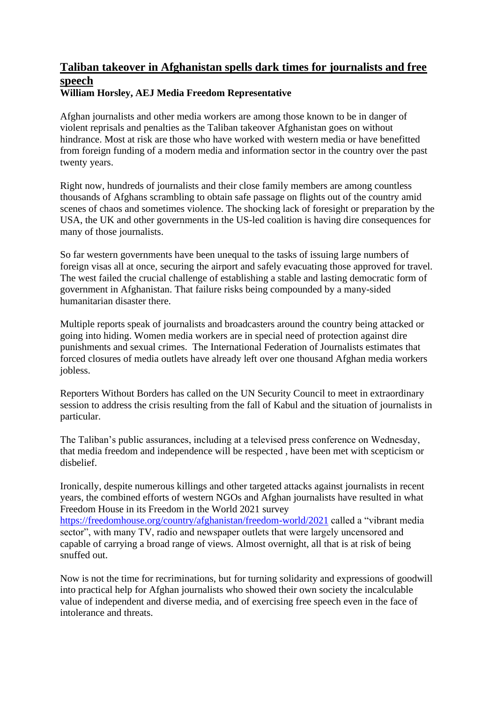## **Taliban takeover in Afghanistan spells dark times for journalists and free speech William Horsley, AEJ Media Freedom Representative**

Afghan journalists and other media workers are among those known to be in danger of violent reprisals and penalties as the Taliban takeover Afghanistan goes on without hindrance. Most at risk are those who have worked with western media or have benefitted from foreign funding of a modern media and information sector in the country over the past twenty years.

Right now, hundreds of journalists and their close family members are among countless thousands of Afghans scrambling to obtain safe passage on flights out of the country amid scenes of chaos and sometimes violence. The shocking lack of foresight or preparation by the USA, the UK and other governments in the US-led coalition is having dire consequences for many of those journalists.

So far western governments have been unequal to the tasks of issuing large numbers of foreign visas all at once, securing the airport and safely evacuating those approved for travel. The west failed the crucial challenge of establishing a stable and lasting democratic form of government in Afghanistan. That failure risks being compounded by a many-sided humanitarian disaster there.

Multiple reports speak of journalists and broadcasters around the country being attacked or going into hiding. Women media workers are in special need of protection against dire punishments and sexual crimes. The International Federation of Journalists estimates that forced closures of media outlets have already left over one thousand Afghan media workers jobless.

Reporters Without Borders has called on the UN Security Council to meet in extraordinary session to address the crisis resulting from the fall of Kabul and the situation of journalists in particular.

The Taliban's public assurances, including at a televised press conference on Wednesday, that media freedom and independence will be respected , have been met with scepticism or disbelief.

Ironically, despite numerous killings and other targeted attacks against journalists in recent years, the combined efforts of western NGOs and Afghan journalists have resulted in what Freedom House in its Freedom in the World 2021 survey <https://freedomhouse.org/country/afghanistan/freedom-world/2021> called a "vibrant media sector", with many TV, radio and newspaper outlets that were largely uncensored and capable of carrying a broad range of views. Almost overnight, all that is at risk of being snuffed out.

Now is not the time for recriminations, but for turning solidarity and expressions of goodwill into practical help for Afghan journalists who showed their own society the incalculable value of independent and diverse media, and of exercising free speech even in the face of intolerance and threats.